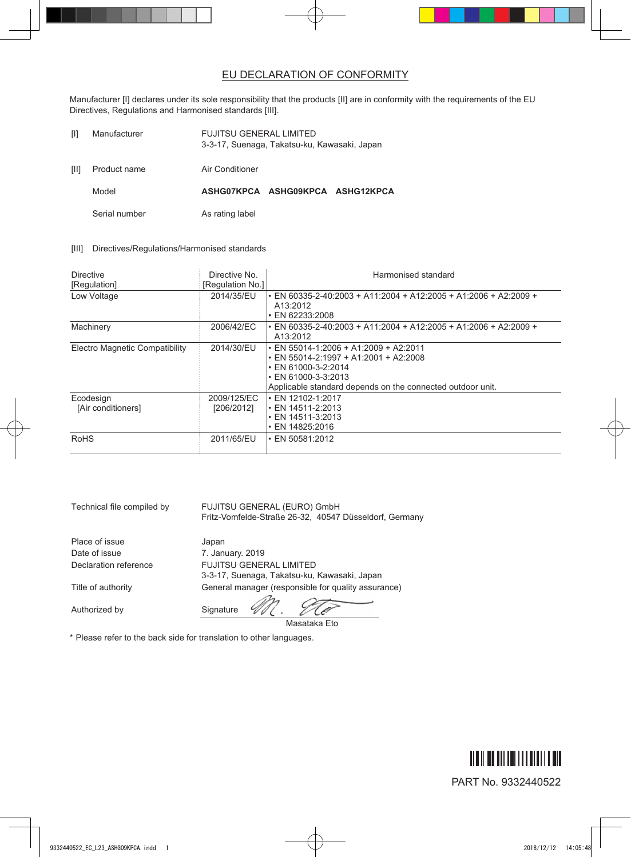## EU DECLARATION OF CONFORMITY

Manufacturer [I] declares under its sole responsibility that the products [II] are in conformity with the requirements of the EU Directives, Regulations and Harmonised standards [III].

| $\mathbb{H}$ | Manufacturer | <b>FUJITSU GENERAL LIMITED</b>               |
|--------------|--------------|----------------------------------------------|
|              |              | 3-3-17, Suenaga, Takatsu-ku, Kawasaki, Japan |
|              |              |                                              |

[II] Product name Air Conditioner

Model **ASHG07KPCA ASHG09KPCA ASHG12KPCA**

Serial number As rating label

## [III] Directives/Regulations/Harmonised standards

| <b>Directive</b><br>[Regulation] | Directive No.<br>[Regulation No.] | Harmonised standard                                                                                                                                                                                                |
|----------------------------------|-----------------------------------|--------------------------------------------------------------------------------------------------------------------------------------------------------------------------------------------------------------------|
| Low Voltage                      | 2014/35/EU                        | • EN 60335-2-40.2003 + A11.2004 + A12.2005 + A1.2006 + A2.2009 +<br>A13:2012<br>• EN 62233:2008                                                                                                                    |
| Machinery                        | 2006/42/EC                        | • EN 60335-2-40.2003 + A11.2004 + A12.2005 + A1.2006 + A2.2009 +<br>A13:2012                                                                                                                                       |
| Electro Magnetic Compatibility   | 2014/30/EU                        | $\cdot$ EN 55014-1:2006 + A1:2009 + A2:2011<br>$\cdot$ EN 55014-2:1997 + A1:2001 + A2:2008<br>$\cdot$ EN 61000-3-2:2014<br>$\cdot$ EN 61000-3-3:2013<br>Applicable standard depends on the connected outdoor unit. |
| Ecodesign<br>[Air conditioners]  | 2009/125/EC<br>[206/2012]         | $\cdot$ EN 12102-1:2017<br>$\cdot$ EN 14511-2:2013<br>$\cdot$ EN 14511-3:2013<br>$\cdot$ EN 14825:2016                                                                                                             |
| <b>RoHS</b>                      | 2011/65/EU                        | $\cdot$ EN 50581:2012                                                                                                                                                                                              |

Masataka Eto

| Technical file compiled by | FUJITSU GENERAL (EURO) GmbH<br>Fritz-Vomfelde-Straße 26-32, 40547 Düsseldorf, Germany |
|----------------------------|---------------------------------------------------------------------------------------|
| Place of issue             | Japan                                                                                 |
| Date of issue              | 7. January. 2019                                                                      |
| Declaration reference      | <b>FUJITSU GENERAL LIMITED</b>                                                        |
|                            | 3-3-17, Suenaga, Takatsu-ku, Kawasaki, Japan                                          |
| Title of authority         | General manager (responsible for quality assurance)                                   |
|                            |                                                                                       |
| Authorized by              | Signature                                                                             |

\* Please refer to the back side for translation to other languages.